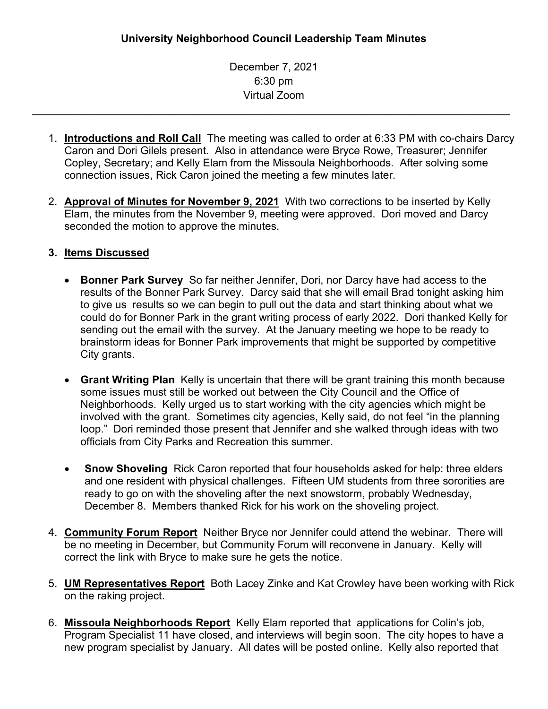December 7, 2021 6:30 pm Virtual Zoom

\_\_\_\_\_\_\_\_\_\_\_\_\_\_\_\_\_\_\_\_\_\_\_\_\_\_\_\_\_\_\_\_\_\_\_\_\_\_\_\_\_\_\_\_\_\_\_\_\_\_\_\_\_\_\_\_\_\_\_\_\_\_\_\_\_\_\_\_\_\_\_\_\_\_\_\_\_\_\_\_

- 1. **Introductions and Roll Call** The meeting was called to order at 6:33 PM with co-chairs Darcy Caron and Dori Gilels present. Also in attendance were Bryce Rowe, Treasurer; Jennifer Copley, Secretary; and Kelly Elam from the Missoula Neighborhoods. After solving some connection issues, Rick Caron joined the meeting a few minutes later.
- 2. **Approval of Minutes for [November](https://www.ci.missoula.mt.us/Archive.aspx?ADID=16410) 9, 2021** With two corrections to be inserted by Kelly Elam, the minutes from the November 9, meeting were approved. Dori moved and Darcy seconded the motion to approve the minutes.

## **3. Items Discussed**

- **Bonner Park Survey** So far neither Jennifer, Dori, nor Darcy have had access to the results of the Bonner Park Survey. Darcy said that she will email Brad tonight asking him to give us results so we can begin to pull out the data and start thinking about what we could do for Bonner Park in the grant writing process of early 2022. Dori thanked Kelly for sending out the email with the survey. At the January meeting we hope to be ready to brainstorm ideas for Bonner Park improvements that might be supported by competitive City grants.
- **Grant Writing Plan** Kelly is uncertain that there will be grant training this month because some issues must still be worked out between the City Council and the Office of Neighborhoods. Kelly urged us to start working with the city agencies which might be involved with the grant. Sometimes city agencies, Kelly said, do not feel "in the planning loop." Dori reminded those present that Jennifer and she walked through ideas with two officials from City Parks and Recreation this summer.
- **Snow Shoveling** Rick Caron reported that four households asked for help: three elders and one resident with physical challenges. Fifteen UM students from three sororities are ready to go on with the shoveling after the next snowstorm, probably Wednesday, December 8. Members thanked Rick for his work on the shoveling project.
- 4. **Community Forum Report** Neither Bryce nor Jennifer could attend the webinar. There will be no meeting in December, but Community Forum will reconvene in January. Kelly will correct the link with Bryce to make sure he gets the notice.
- 5. **UM Representatives Report** Both Lacey Zinke and Kat Crowley have been working with Rick on the raking project.
- 6. **Missoula Neighborhoods Report** Kelly Elam reported that applications for Colin's job, Program Specialist 11 have closed, and interviews will begin soon. The city hopes to have a new program specialist by January. All dates will be posted online. Kelly also reported that